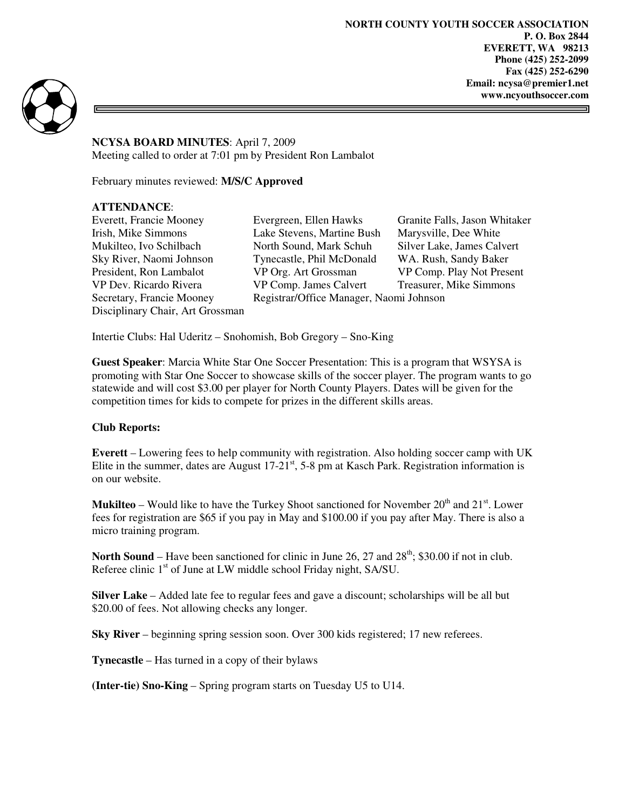**NORTH COUNTY YOUTH SOCCER ASSOCIATION P. O. Box 2844 EVERETT, WA 98213 Phone (425) 252-2099 Fax (425) 252-6290 Email: ncysa@premier1.net www.ncyouthsoccer.com** 



**NCYSA BOARD MINUTES**: April 7, 2009 Meeting called to order at 7:01 pm by President Ron Lambalot

February minutes reviewed: **M/S/C Approved** 

# **ATTENDANCE**:

Disciplinary Chair, Art Grossman

Everett, Francie Mooney Evergreen, Ellen Hawks Granite Falls, Jason Whitaker Irish, Mike Simmons Lake Stevens, Martine Bush Marysville, Dee White Mukilteo, Ivo Schilbach North Sound, Mark Schuh Silver Lake, James Calvert Sky River, Naomi Johnson Tynecastle, Phil McDonald WA. Rush, Sandy Baker President, Ron Lambalot VP Org. Art Grossman VP Comp. Play Not Present VP Dev. Ricardo Rivera VP Comp. James Calvert Treasurer, Mike Simmons Secretary, Francie Mooney Registrar/Office Manager, Naomi Johnson

Intertie Clubs: Hal Uderitz – Snohomish, Bob Gregory – Sno-King

**Guest Speaker**: Marcia White Star One Soccer Presentation: This is a program that WSYSA is promoting with Star One Soccer to showcase skills of the soccer player. The program wants to go statewide and will cost \$3.00 per player for North County Players. Dates will be given for the competition times for kids to compete for prizes in the different skills areas.

# **Club Reports:**

**Everett** – Lowering fees to help community with registration. Also holding soccer camp with UK Elite in the summer, dates are August  $17-21<sup>st</sup>$ , 5-8 pm at Kasch Park. Registration information is on our website.

**Mukilteo** – Would like to have the Turkey Shoot sanctioned for November  $20<sup>th</sup>$  and  $21<sup>st</sup>$ . Lower fees for registration are \$65 if you pay in May and \$100.00 if you pay after May. There is also a micro training program.

**North Sound** – Have been sanctioned for clinic in June 26, 27 and  $28<sup>th</sup>$ ; \$30.00 if not in club. Referee clinic 1<sup>st</sup> of June at LW middle school Friday night, SA/SU.

**Silver Lake** – Added late fee to regular fees and gave a discount; scholarships will be all but \$20.00 of fees. Not allowing checks any longer.

**Sky River** – beginning spring session soon. Over 300 kids registered; 17 new referees.

**Tynecastle** – Has turned in a copy of their bylaws

**(Inter-tie) Sno-King** – Spring program starts on Tuesday U5 to U14.